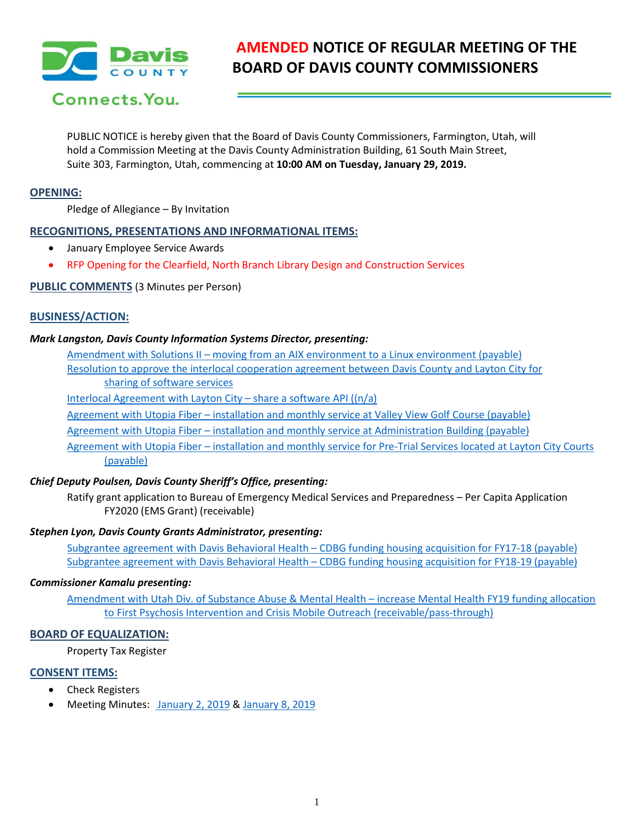

# **AMENDED NOTICE OF REGULAR MEETING OF THE BOARD OF DAVIS COUNTY COMMISSIONERS**

PUBLIC NOTICE is hereby given that the Board of Davis County Commissioners, Farmington, Utah, will hold a Commission Meeting at the Davis County Administration Building, 61 South Main Street, Suite 303, Farmington, Utah, commencing at **10:00 AM on Tuesday, January 29, 2019.**

## **OPENING:**

Pledge of Allegiance – By Invitation

## **RECOGNITIONS, PRESENTATIONS AND INFORMATIONAL ITEMS:**

- January Employee Service Awards
- RFP Opening for the Clearfield, North Branch Library Design and Construction Services

# **PUBLIC COMMENTS** (3 Minutes per Person)

## **BUSINESS/ACTION:**

### *Mark Langston, Davis County Information Systems Director, presenting:*

Amendment with Solutions II – moving from an AIX environment to a Linux environment (payable) Resolution to approve the interlocal cooperation agreement between Davis County and Layton City for

sharing of software services

Interlocal Agreement with Layton City – share a software API ((n/a)

Agreement with Utopia Fiber – installation and monthly service at Valley View Golf Course (payable)

Agreement with Utopia Fiber – installation and monthly service at Administration Building (payable)

Agreement with Utopia Fiber – installation and monthly service for Pre-Trial Services located at Layton City Courts (payable)

# *Chief Deputy Poulsen, Davis County Sheriff's Office, presenting:*

Ratify grant application to Bureau of Emergency Medical Services and Preparedness – Per Capita Application FY2020 (EMS Grant) (receivable)

### *Stephen Lyon, Davis County Grants Administrator, presenting:*

Subgrantee agreement with Davis Behavioral Health – CDBG funding housing acquisition for FY17-18 (payable) Subgrantee agreement with Davis Behavioral Health – CDBG funding housing acquisition for FY18-19 (payable)

### *Commissioner Kamalu presenting:*

Amendment with Utah Div. of Substance Abuse & Mental Health – increase Mental Health FY19 funding allocation to First Psychosis Intervention and Crisis Mobile Outreach (receivable/pass-through)

# **BOARD OF EQUALIZATION:**

Property Tax Register

# **CONSENT ITEMS:**

- Check Registers
- Meeting Minutes: January 2, 2019 & January 8, 2019